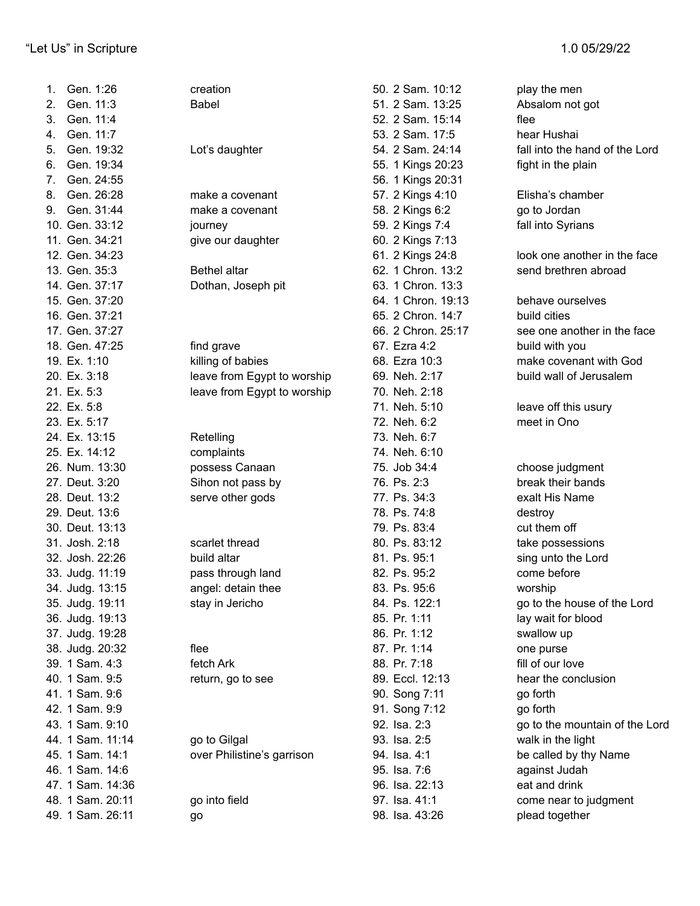| Gen. 1:26<br>1.  | creation                    | 50. 2 Sam. 10:12   | play the men                   |
|------------------|-----------------------------|--------------------|--------------------------------|
| Gen. 11:3<br>2.  | <b>Babel</b>                | 51. 2 Sam. 13:25   | Absalom not got                |
| Gen. 11:4<br>3.  |                             | 52. 2 Sam. 15:14   | flee                           |
| Gen. 11:7<br>4.  |                             | 53. 2 Sam. 17:5    | hear Hushai                    |
| Gen. 19:32<br>5. | Lot's daughter              | 54. 2 Sam. 24:14   | fall into the hand of the Lord |
| Gen. 19:34<br>6. |                             | 55. 1 Kings 20:23  | fight in the plain             |
| Gen. 24:55<br>7. |                             | 56. 1 Kings 20:31  |                                |
| Gen. 26:28<br>8. | make a covenant             | 57. 2 Kings 4:10   | Elisha's chamber               |
| Gen. 31:44<br>9. | make a covenant             | 58. 2 Kings 6:2    | go to Jordan                   |
| 10. Gen. 33:12   | journey                     | 59. 2 Kings 7:4    | fall into Syrians              |
| 11. Gen. 34:21   | give our daughter           | 60. 2 Kings 7:13   |                                |
| 12. Gen. 34:23   |                             | 61. 2 Kings 24:8   | look one another in the face   |
| 13. Gen. 35:3    | Bethel altar                | 62. 1 Chron. 13:2  | send brethren abroad           |
| 14. Gen. 37:17   | Dothan, Joseph pit          | 63. 1 Chron. 13:3  |                                |
| 15. Gen. 37:20   |                             | 64. 1 Chron. 19:13 | behave ourselves               |
| 16. Gen. 37:21   |                             | 65. 2 Chron. 14:7  | build cities                   |
| 17. Gen. 37:27   |                             | 66. 2 Chron. 25:17 | see one another in the face    |
| 18. Gen. 47:25   | find grave                  | 67. Ezra 4:2       | build with you                 |
| 19. Ex. 1:10     | killing of babies           | 68. Ezra 10:3      | make covenant with God         |
| 20. Ex. 3:18     | leave from Egypt to worship | 69. Neh. 2:17      | build wall of Jerusalem        |
| 21. Ex. 5:3      | leave from Egypt to worship | 70. Neh. 2:18      |                                |
| 22. Ex. 5:8      |                             | 71. Neh. 5:10      | leave off this usury           |
| 23. Ex. 5:17     |                             | 72. Neh. 6:2       | meet in Ono                    |
| 24. Ex. 13:15    | Retelling                   | 73. Neh. 6:7       |                                |
| 25. Ex. 14:12    | complaints                  | 74. Neh. 6:10      |                                |
| 26. Num. 13:30   | possess Canaan              | 75. Job 34:4       | choose judgment                |
| 27. Deut. 3:20   | Sihon not pass by           | 76. Ps. 2:3        | break their bands              |
| 28. Deut. 13:2   | serve other gods            | 77. Ps. 34:3       | exalt His Name                 |
| 29. Deut. 13:6   |                             | 78. Ps. 74:8       | destroy                        |
| 30. Deut. 13:13  |                             | 79. Ps. 83:4       | cut them off                   |
| 31. Josh. 2:18   | scarlet thread              | 80. Ps. 83:12      | take possessions               |
| 32. Josh. 22:26  | build altar                 | 81. Ps. 95:1       | sing unto the Lord             |
| 33. Judg. 11:19  | pass through land           | 82. Ps. 95:2       | come before                    |
| 34. Judg. 13:15  | angel: detain thee          | 83. Ps. 95:6       | worship                        |
| 35. Judg. 19:11  | stay in Jericho             | 84. Ps. 122:1      | go to the house of the Lord    |
| 36. Judg. 19:13  |                             | 85. Pr. 1:11       | lay wait for blood             |
| 37. Judg. 19:28  |                             | 86. Pr. 1:12       | swallow up                     |
| 38. Judg. 20:32  | flee                        | 87. Pr. 1:14       | one purse                      |
| 39. 1 Sam. 4:3   | fetch Ark                   | 88. Pr. 7:18       | fill of our love               |
| 40. 1 Sam. 9:5   | return, go to see           | 89. Eccl. 12:13    | hear the conclusion            |
| 41. 1 Sam. 9:6   |                             | 90. Song 7:11      | go forth                       |
| 42. 1 Sam. 9:9   |                             | 91. Song 7:12      | go forth                       |
| 43. 1 Sam. 9:10  |                             | 92. Isa. 2:3       | go to the mountain of the Lord |
| 44. 1 Sam. 11:14 | go to Gilgal                | 93. Isa. 2:5       | walk in the light              |
| 45. 1 Sam. 14:1  | over Philistine's garrison  | 94. Isa. 4:1       | be called by thy Name          |
| 46. 1 Sam. 14:6  |                             | 95. Isa. 7:6       | against Judah                  |
| 47. 1 Sam. 14:36 |                             | 96. Isa. 22:13     | eat and drink                  |
| 48. 1 Sam. 20:11 | go into field               | 97. Isa. 41:1      | come near to judgment          |
| 49. 1 Sam. 26:11 | go                          | 98. Isa. 43:26     | plead together                 |